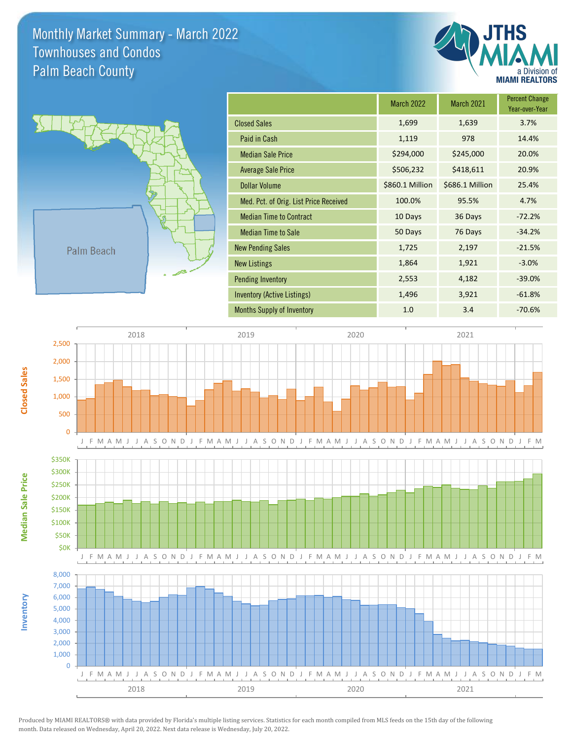Monthly Market Summary - March 2022 Palm Beach County Townhouses and Condos





**Inventory**

**Median Sale Price**

Median Sale Price

**Closed Sales**

|                                        | <b>March 2022</b> | <b>March 2021</b> | <b>Percent Change</b><br>Year-over-Year |
|----------------------------------------|-------------------|-------------------|-----------------------------------------|
| <b>Closed Sales</b>                    | 1,699             | 1,639             | 3.7%                                    |
| Paid in Cash                           | 1,119             | 978               | 14.4%                                   |
| <b>Median Sale Price</b>               | \$294,000         | \$245,000         | 20.0%                                   |
| <b>Average Sale Price</b>              | \$506,232         | \$418,611         | 20.9%                                   |
| Dollar Volume                          | \$860.1 Million   | \$686.1 Million   | 25.4%                                   |
| Med. Pct. of Orig. List Price Received | 100.0%            | 95.5%             | 4.7%                                    |
| <b>Median Time to Contract</b>         | 10 Days           | 36 Days           | $-72.2%$                                |
| <b>Median Time to Sale</b>             | 50 Days           | 76 Days           | $-34.2%$                                |
| <b>New Pending Sales</b>               | 1,725             | 2,197             | $-21.5%$                                |
| <b>New Listings</b>                    | 1,864             | 1,921             | $-3.0%$                                 |
| <b>Pending Inventory</b>               | 2,553             | 4,182             | $-39.0%$                                |
| Inventory (Active Listings)            | 1,496             | 3,921             | $-61.8%$                                |
| <b>Months Supply of Inventory</b>      | 1.0               | 3.4               | $-70.6%$                                |



Produced by MIAMI REALTORS® with data provided by Florida's multiple listing services. Statistics for each month compiled from MLS feeds on the 15th day of the following month. Data released on Wednesday, April 20, 2022. Next data release is Wednesday, July 20, 2022.